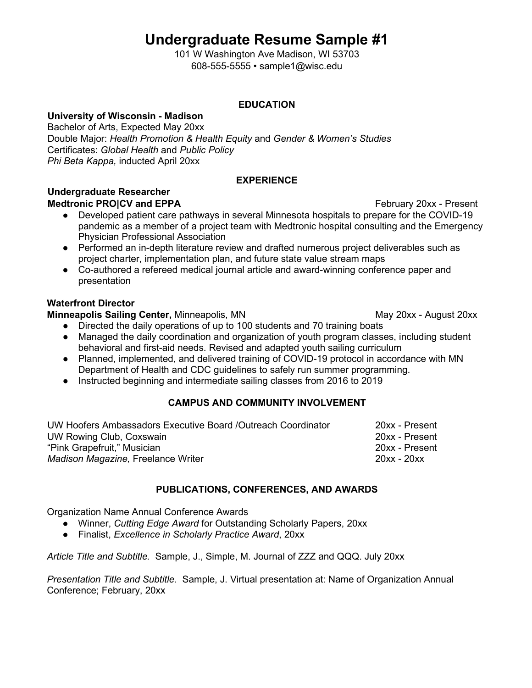# **Undergraduate Resume Sample #1**

101 W Washington Ave Madison, WI 53703 608-555-5555 • sample1@wisc.edu

### **EDUCATION**

# **University of Wisconsin - Madison**

Bachelor of Arts, Expected May 20xx Double Major: *Health Promotion & Health Equity* and *Gender & Women's Studies*  Certificates: *Global Health* and *Public Policy Phi Beta Kappa,* inducted April 20xx

#### **EXPERIENCE**

# **Undergraduate Researcher**

## **Medtronic PRO|CV and EPPA February 20xx** - Present

- Developed patient care pathways in several Minnesota hospitals to prepare for the COVID-19 pandemic as a member of a project team with Medtronic hospital consulting and the Emergency Physician Professional Association
- Performed an in-depth literature review and drafted numerous project deliverables such as project charter, implementation plan, and future state value stream maps
- Co-authored a refereed medical journal article and award-winning conference paper and presentation

## **Waterfront Director**

#### **Minneapolis Sailing Center, Minneapolis, MN** May 20xx - August 20xx

● Directed the daily operations of up to 100 students and 70 training boats

- Managed the daily coordination and organization of youth program classes, including student behavioral and first-aid needs. Revised and adapted youth sailing curriculum
- Planned, implemented, and delivered training of COVID-19 protocol in accordance with MN Department of Health and CDC guidelines to safely run summer programming.
- Instructed beginning and intermediate sailing classes from 2016 to 2019

## **CAMPUS AND COMMUNITY INVOLVEMENT**

| UW Hoofers Ambassadors Executive Board /Outreach Coordinator | 20xx - Present |
|--------------------------------------------------------------|----------------|
| UW Rowing Club, Coxswain                                     | 20xx - Present |
| "Pink Grapefruit," Musician                                  | 20xx - Present |
| Madison Magazine, Freelance Writer                           | $20xx - 20xx$  |

## **PUBLICATIONS, CONFERENCES, AND AWARDS**

Organization Name Annual Conference Awards

- Winner, *Cutting Edge Award* for Outstanding Scholarly Papers, 20xx
- Finalist, *Excellence in Scholarly Practice Award*, 20xx

*Article Title and Subtitle.* Sample, J., Simple, M. Journal of ZZZ and QQQ. July 20xx

*Presentation Title and Subtitle.* Sample, J. Virtual presentation at: Name of Organization Annual Conference; February, 20xx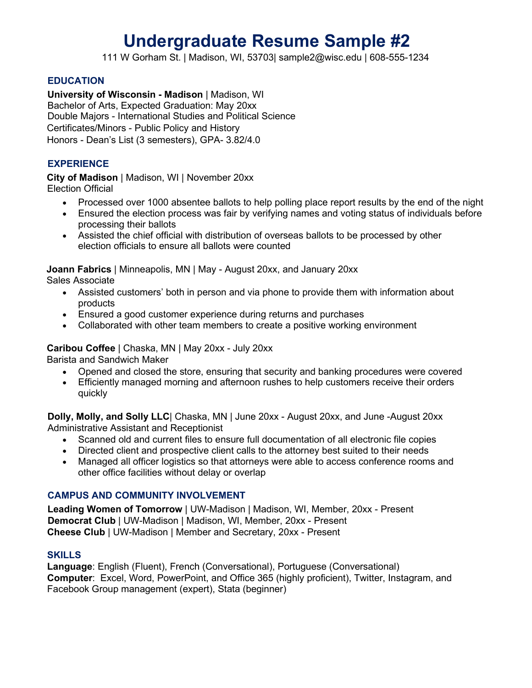# **Undergraduate Resume Sample #2**

111 W Gorham St. | Madison, WI, 53703| sample2@wisc.edu | 608-555-1234

#### **EDUCATION**

**University of Wisconsin - Madison** | Madison, WI Bachelor of Arts, Expected Graduation: May 20xx Double Majors - International Studies and Political Science Certificates/Minors - Public Policy and History Honors - Dean's List (3 semesters), GPA- 3.82/4.0

#### **EXPERIENCE**

**City of Madison** | Madison, WI | November 20xx Election Official

- Processed over 1000 absentee ballots to help polling place report results by the end of the night
- Ensured the election process was fair by verifying names and voting status of individuals before processing their ballots
- Assisted the chief official with distribution of overseas ballots to be processed by other election officials to ensure all ballots were counted

**Joann Fabrics** | Minneapolis, MN | May - August 20xx, and January 20xx

Sales Associate

- Assisted customers' both in person and via phone to provide them with information about products
- Ensured a good customer experience during returns and purchases
- Collaborated with other team members to create a positive working environment

#### **Caribou Coffee** | Chaska, MN | May 20xx - July 20xx

Barista and Sandwich Maker

- Opened and closed the store, ensuring that security and banking procedures were covered
- Efficiently managed morning and afternoon rushes to help customers receive their orders quickly

**Dolly, Molly, and Solly LLC**| Chaska, MN | June 20xx - August 20xx, and June -August 20xx Administrative Assistant and Receptionist

- Scanned old and current files to ensure full documentation of all electronic file copies
- Directed client and prospective client calls to the attorney best suited to their needs
- Managed all officer logistics so that attorneys were able to access conference rooms and other office facilities without delay or overlap

#### **CAMPUS AND COMMUNITY INVOLVEMENT**

**Leading Women of Tomorrow** | UW-Madison | Madison, WI, Member, 20xx - Present **Democrat Club** | UW-Madison | Madison, WI, Member, 20xx - Present **Cheese Club** | UW-Madison | Member and Secretary, 20xx - Present

#### **SKILLS**

**Language**: English (Fluent), French (Conversational), Portuguese (Conversational) **Computer**: Excel, Word, PowerPoint, and Office 365 (highly proficient), Twitter, Instagram, and Facebook Group management (expert), Stata (beginner)